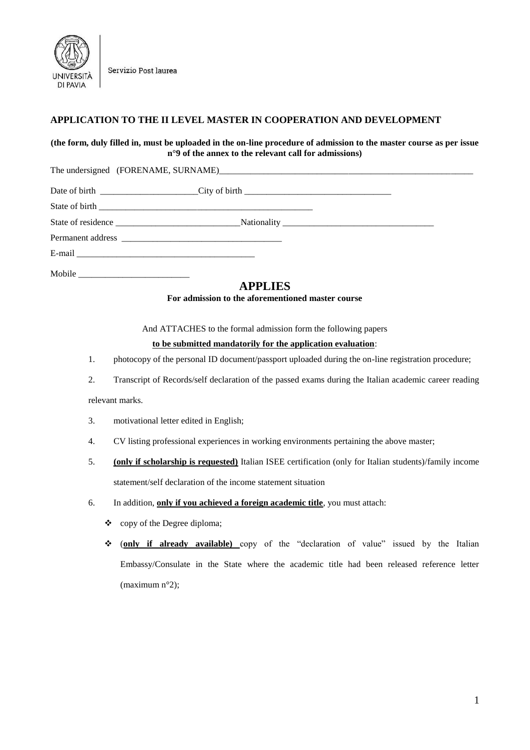

Servizio Post laurea

## **APPLICATION TO THE II LEVEL MASTER IN COOPERATION AND DEVELOPMENT**

## **(the form, duly filled in, must be uploaded in the on-line procedure of admission to the master course as per issue n°9 of the annex to the relevant call for admissions)**

The undersigned (FORENAME, SURNAME)\_

| Mobile |  |
|--------|--|

# **APPLIES**

**For admission to the aforementioned master course**

And ATTACHES to the formal admission form the following papers

#### **to be submitted mandatorily for the application evaluation**:

- 1. photocopy of the personal ID document/passport uploaded during the on-line registration procedure;
- 2. Transcript of Records/self declaration of the passed exams during the Italian academic career reading

#### relevant marks.

- 3. motivational letter edited in English;
- 4. CV listing professional experiences in working environments pertaining the above master;
- 5. **(only if scholarship is requested)** Italian ISEE certification (only for Italian students)/family income statement/self declaration of the income statement situation
- 6. In addition, **only if you achieved a foreign academic title**, you must attach:
	- $\bullet$  copy of the Degree diploma;
	- (**only if already available)** copy of the "declaration of value" issued by the Italian Embassy/Consulate in the State where the academic title had been released reference letter (maximum n°2);